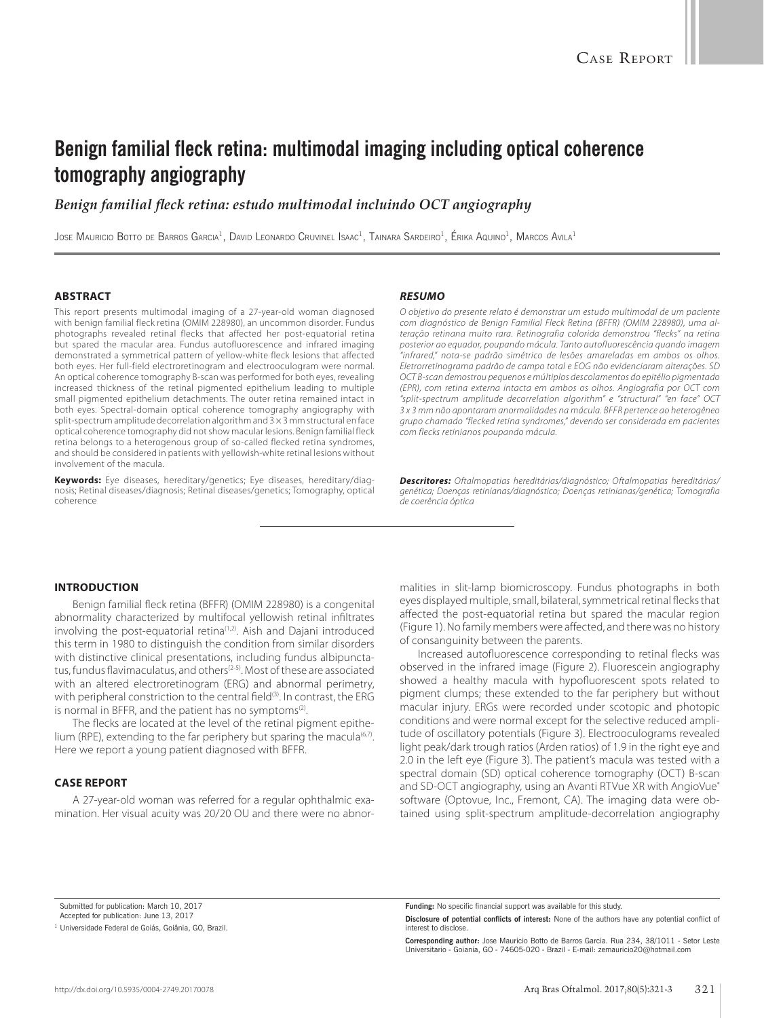# **Benign familial fleck retina: multimodal imaging including optical coherence tomography angiography**

## *Benign familial fleck retina: estudo multimodal incluindo OCT angiography*

JOSE MAURICIO BOTTO DE BARROS GARCIA<sup>1</sup>, DAVID LEONARDO CRUVINEL ISAAC<sup>1</sup>, TAINARA SARDEIRO<sup>1</sup>, ÉRIKA AQUINO<sup>1</sup>, MARCOS AVILA<sup>1</sup>

#### **ABSTRACT**

This report presents multimodal imaging of a 27-year-old woman diagnosed with benign familial fleck retina (OMIM 228980), an uncommon disorder. Fundus photographs revealed retinal flecks that affected her post-equatorial retina but spared the macular area. Fundus autofluorescence and infrared imaging demonstrated a symmetrical pattern of yellow-white fleck lesions that affected both eyes. Her full-field electroretinogram and electrooculogram were normal. An optical coherence tomography B-scan was performed for both eyes, revealing increased thickness of the retinal pigmented epithelium leading to multiple small pigmented epithelium detachments. The outer retina remained intact in both eyes. Spectral-domain optical coherence tomography angiography with split-spectrum amplitude decorrelation algorithm and 3 × 3 mm structural en face optical coherence tomography did not show macular lesions. Benign familial fleck retina belongs to a heterogenous group of so-called flecked retina syndromes, and should be considered in patients with yellowish-white retinal lesions without involvement of the macula.

**Keywords:** Eye diseases, hereditary/genetics; Eye diseases, hereditary/diagnosis; Retinal diseases/diagnosis; Retinal diseases/genetics; Tomography, optical coherence

#### *RESUMO*

*O objetivo do presente relato é demonstrar um estudo multimodal de um paciente com diagnóstico de Benign Familial Fleck Retina (BFFR) (OMIM 228980), uma alteração retinana muito rara. Retinografia colorida demonstrou "flecks" na retina posterior ao equador, poupando mácula. Tanto autofluorescência quando imagem "infrared," nota-se padrão simétrico de lesões amareladas em ambos os olhos. Eletrorretinograma padrão de campo total e EOG não evidenciaram alterações. SD OCT B-scan demostrou pequenos e múltiplos descolamentos do epitélio pigmentado (EPR), com retina externa intacta em ambos os olhos. Angiografia por OCT com "split-spectrum amplitude decorrelation algorithm" e "structural" "en face" OCT 3 x 3 mm não apontaram anormalidades na mácula. BFFR pertence ao heterogêneo grupo chamado "flecked retina syndromes," devendo ser considerada em pacientes com flecks retinianos poupando mácula.*

*Descritores: Oftalmopatias hereditárias/diagnóstico; Oftalmopatias hereditárias/ genética; Doenças retinianas/diagnóstico; Doenças retinianas/genética; Tomografia de coerência óptica*

### **INTRODUCTION**

Benign familial fleck retina (BFFR) (OMIM 228980) is a congenital abnormality characterized by multifocal yellowish retinal infiltrates involving the post-equatorial retina<sup>(1,2)</sup>. Aish and Dajani introduced this term in 1980 to distinguish the condition from similar disorders with distinctive clinical presentations, including fundus albipunctatus, fundus flavimaculatus, and others<sup>(2-5)</sup>. Most of these are associated with an altered electroretinogram (ERG) and abnormal perimetry, with peripheral constriction to the central field<sup>(3)</sup>. In contrast, the ERG is normal in BFFR, and the patient has no symptoms $(2)$ .

The flecks are located at the level of the retinal pigment epithelium (RPE), extending to the far periphery but sparing the macula<sup> $(6,7)$ </sup>. Here we report a young patient diagnosed with BFFR.

#### **CASE REPORT**

A 27-year-old woman was referred for a regular ophthalmic examination. Her visual acuity was 20/20 OU and there were no abnormalities in slit-lamp biomicroscopy. Fundus photographs in both eyes displayed multiple, small, bilateral, symmetrical retinal flecks that affected the post-equatorial retina but spared the macular region (Figure 1). No family members were affected, and there was no history of consanguinity between the parents.

Increased autofluorescence corresponding to retinal flecks was observed in the infrared image (Figure 2). Fluorescein angiography showed a healthy macula with hypofluorescent spots related to pigment clumps; these extended to the far periphery but without macular injury. ERGs were recorded under scotopic and photopic conditions and were normal except for the selective reduced amplitude of oscillatory potentials (Figure 3). Electrooculograms revealed light peak/dark trough ratios (Arden ratios) of 1.9 in the right eye and 2.0 in the left eye (Figure 3). The patient's macula was tested with a spectral domain (SD) optical coherence tomography (OCT) B-scan and SD-OCT angiography, using an Avanti RTVue XR with AngioVue® software (Optovue, Inc., Fremont, CA). The imaging data were obtained using split-spectrum amplitude-decorrelation angiography

Submitted for publication: March 10, 2017 Accepted for publication: June 13, 2017

**Corresponding author:** Jose Mauricio Botto de Barros Garcia. Rua 234, 38/1011 - Setor Leste Universitario - Goiania, GO - 74605-020 - Brazil - E-mail: zemauricio20@hotmail.com

<sup>&</sup>lt;sup>1</sup> Universidade Federal de Goiás, Goiânia, GO, Brazil.

**Funding:** No specific financial support was available for this study.

**Disclosure of potential conflicts of interest:** None of the authors have any potential conflict of interest to disclose.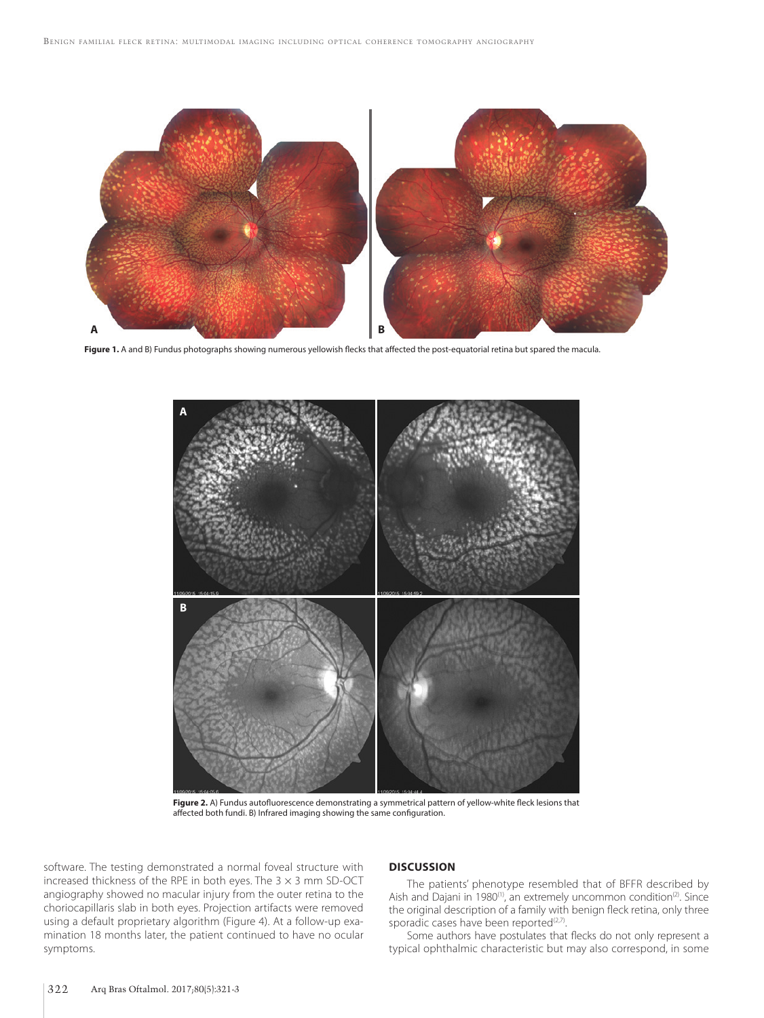

Figure 1. A and B) Fundus photographs showing numerous yellowish flecks that affected the post-equatorial retina but spared the macula.



**Figure 2.** A) Fundus autofluorescence demonstrating a symmetrical pattern of yellow-white fleck lesions that affected both fundi. B) Infrared imaging showing the same configuration.

software. The testing demonstrated a normal foveal structure with increased thickness of the RPE in both eyes. The  $3 \times 3$  mm SD-OCT angiography showed no macular injury from the outer retina to the choriocapillaris slab in both eyes. Projection artifacts were removed using a default proprietary algorithm (Figure 4). At a follow-up examination 18 months later, the patient continued to have no ocular symptoms.

## **DISCUSSION**

The patients' phenotype resembled that of BFFR described by Aish and Dajani in 1980<sup>(1)</sup>, an extremely uncommon condition<sup>(2)</sup>. Since the original description of a family with benign fleck retina, only three sporadic cases have been reported<sup>(2,7)</sup>.

Some authors have postulates that flecks do not only represent a typical ophthalmic characteristic but may also correspond, in some